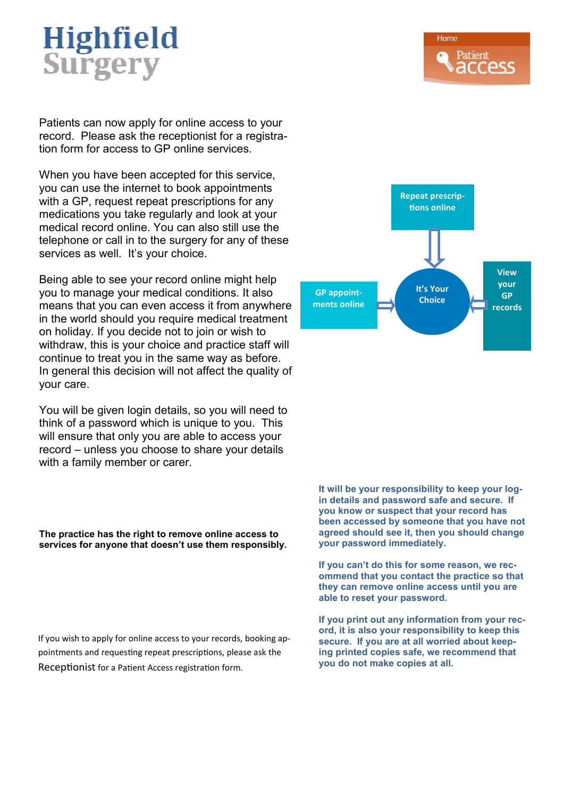# Highfield Surgery

Patients can now apply for online access to your record. Please ask the receptionist for a registration form for access to GP online services.

When you have been accepted for this service, you can use the internet to book appointments with a GP, request repeat prescriptions for any medications you take regularly and look at your medical record online. You can also still use the telephone or call in to the surgery for any of these services as well. It's your choice.

Being able to see your record online might help you to manage your medical conditions. It also means that you can even access it from anywhere in the world should you require medical treatment on holiday. If you decide not to join or wish to withdraw, this is your choice and practice staff will continue to treat you in the same way as before. In general this decision will not affect the quality of your care.

You will be given login details, so you will need to think of a password which is unique to you. This will ensure that only you are able to access your record – unless you choose to share your details with a family member or carer.

**The practice has the right to remove online access to services for anyone that doesn't use them responsibly.** 

If you wish to apply for online access to your records, booking appointments and requesting repeat prescriptions, please ask the Receptionist for a Patient Access registration form.



**It will be your responsibility to keep your login details and password safe and secure. If you know or suspect that your record has been accessed by someone that you have not agreed should see it, then you should change your password immediately.** 

**If you can't do this for some reason, we recommend that you contact the practice so that they can remove online access until you are able to reset your password.** 

**If you print out any information from your record, it is also your responsibility to keep this secure. If you are at all worried about keeping printed copies safe, we recommend that you do not make copies at all.**